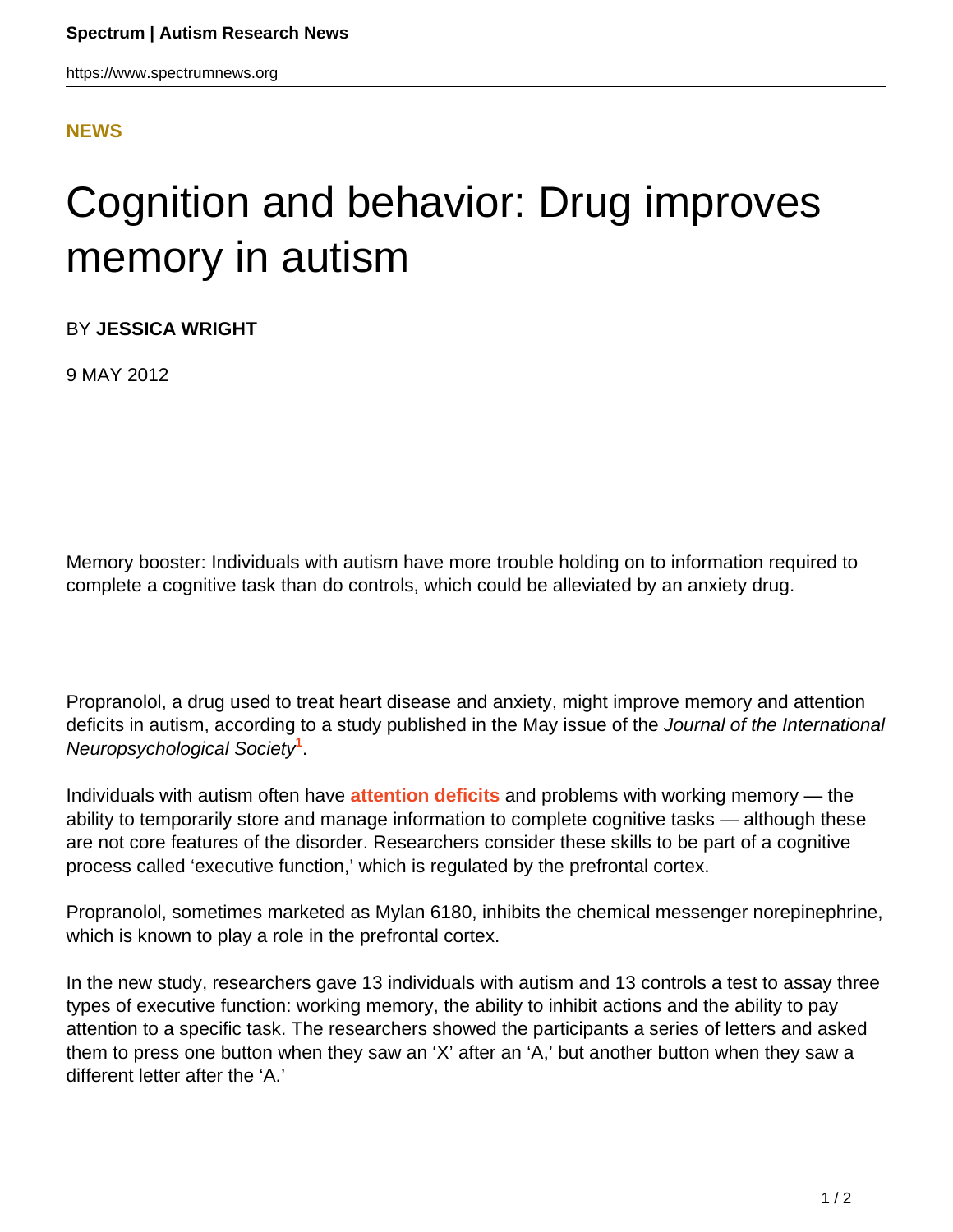## **[NEWS](HTTPS://WWW.SPECTRUMNEWS.ORG/NEWS/)**

## Cognition and behavior: Drug improves memory in autism

BY **JESSICA WRIGHT**

9 MAY 2012

Memory booster: Individuals with autism have more trouble holding on to information required to complete a cognitive task than do controls, which could be alleviated by an anxiety drug.

Propranolol, a drug used to treat heart disease and anxiety, might improve memory and attention deficits in autism, according to a study published in the May issue of the Journal of the International Neuropsychological Society**<sup>1</sup>** .

Individuals with autism often have **[attention deficits](../../workshop-reports/2011/workshop-report-workshop-on-attention-deficits-in-autism)** and problems with working memory — the ability to temporarily store and manage information to complete cognitive tasks — although these are not core features of the disorder. Researchers consider these skills to be part of a cognitive process called 'executive function,' which is regulated by the prefrontal cortex.

Propranolol, sometimes marketed as Mylan 6180, inhibits the chemical messenger norepinephrine, which is known to play a role in the prefrontal cortex.

In the new study, researchers gave 13 individuals with autism and 13 controls a test to assay three types of executive function: working memory, the ability to inhibit actions and the ability to pay attention to a specific task. The researchers showed the participants a series of letters and asked them to press one button when they saw an 'X' after an 'A,' but another button when they saw a different letter after the 'A.'